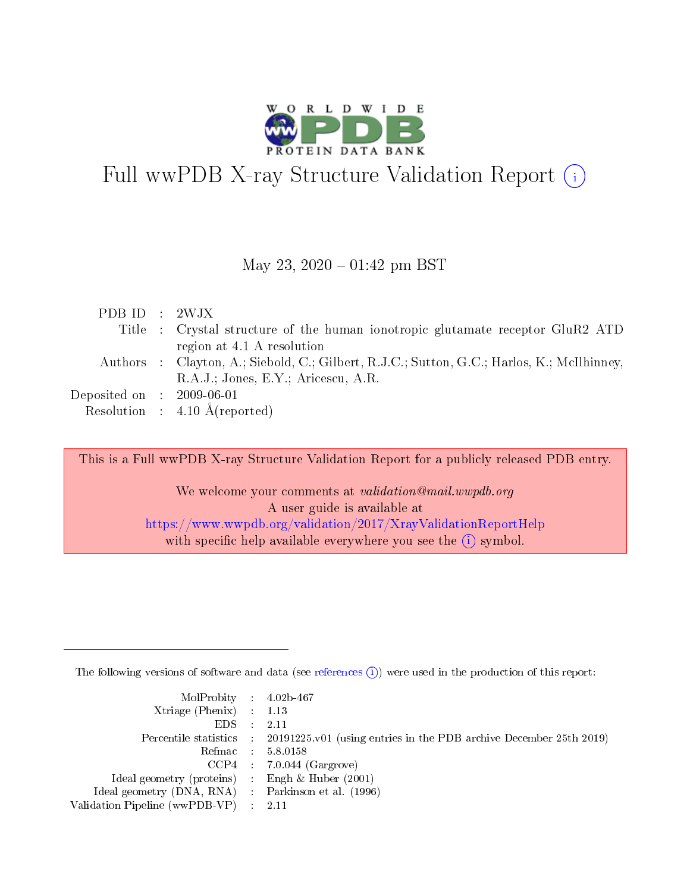

# Full wwPDB X-ray Structure Validation Report  $(i)$

#### May 23,  $2020 - 01:42$  pm BST

| PDB ID : $2WJX$                |                                                                                            |
|--------------------------------|--------------------------------------------------------------------------------------------|
|                                | Title : Crystal structure of the human ionotropic glutamate receptor GluR2 ATD             |
|                                | region at 4.1 A resolution                                                                 |
|                                | Authors : Clayton, A.; Siebold, C.; Gilbert, R.J.C.; Sutton, G.C.; Harlos, K.; McIlhinney, |
|                                | R.A.J.; Jones, E.Y.; Aricescu, A.R.                                                        |
| Deposited on $\;$ : 2009-06-01 |                                                                                            |
|                                | Resolution : $4.10 \text{ Å}$ (reported)                                                   |

This is a Full wwPDB X-ray Structure Validation Report for a publicly released PDB entry.

We welcome your comments at validation@mail.wwpdb.org A user guide is available at <https://www.wwpdb.org/validation/2017/XrayValidationReportHelp> with specific help available everywhere you see the  $(i)$  symbol.

The following versions of software and data (see [references](https://www.wwpdb.org/validation/2017/XrayValidationReportHelp#references)  $(i)$ ) were used in the production of this report:

| $MolProbability$ 4.02b-467                          |                                                                                              |
|-----------------------------------------------------|----------------------------------------------------------------------------------------------|
| Xtriage (Phenix) $: 1.13$                           |                                                                                              |
| $EDS$ :                                             | -2.11                                                                                        |
|                                                     | Percentile statistics : $20191225.v01$ (using entries in the PDB archive December 25th 2019) |
|                                                     | Refmac : 5.8.0158                                                                            |
|                                                     | $CCP4$ : 7.0.044 (Gargrove)                                                                  |
| Ideal geometry (proteins) : Engh $\&$ Huber (2001)  |                                                                                              |
| Ideal geometry (DNA, RNA) : Parkinson et al. (1996) |                                                                                              |
| Validation Pipeline (wwPDB-VP) :                    | - 2.11                                                                                       |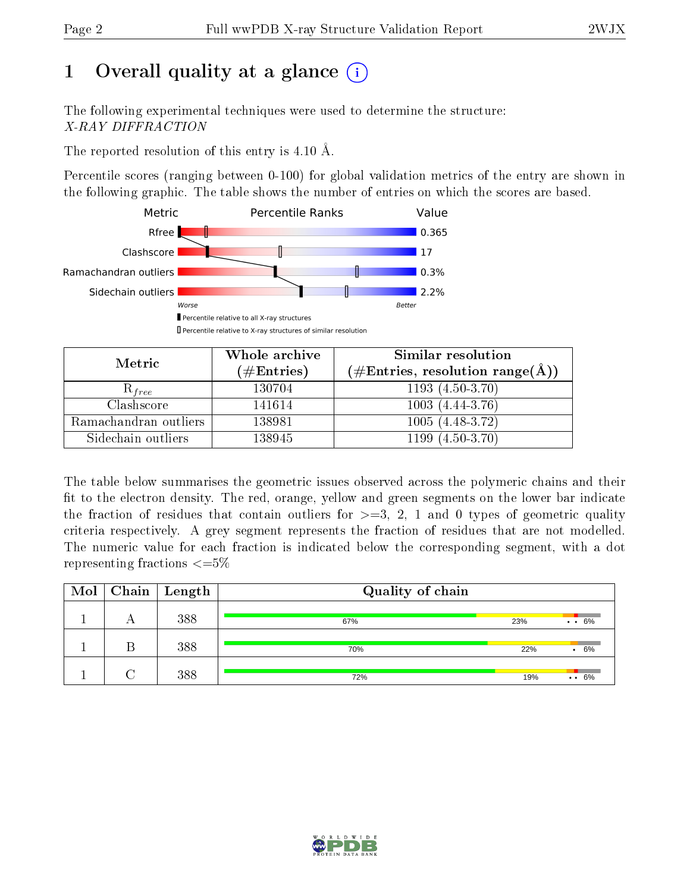# 1 [O](https://www.wwpdb.org/validation/2017/XrayValidationReportHelp#overall_quality)verall quality at a glance  $(i)$

The following experimental techniques were used to determine the structure: X-RAY DIFFRACTION

The reported resolution of this entry is  $4.10 \text{ Å}.$ 

Percentile scores (ranging between 0-100) for global validation metrics of the entry are shown in the following graphic. The table shows the number of entries on which the scores are based.



| Metric                | Whole archive        | <b>Similar resolution</b>                                 |  |  |
|-----------------------|----------------------|-----------------------------------------------------------|--|--|
|                       | $(\#\text{Entries})$ | $(\#\text{Entries}, \text{resolution range}(\text{\AA}))$ |  |  |
| $R_{free}$            | 130704               | $1193(4.50-3.70)$                                         |  |  |
| Clashscore            | 141614               | $1003(4.44-3.76)$                                         |  |  |
| Ramachandran outliers | 138981               | $1005(4.48-3.72)$                                         |  |  |
| Sidechain outliers    | 138945               | $1199(4.50-3.70)$                                         |  |  |

The table below summarises the geometric issues observed across the polymeric chains and their fit to the electron density. The red, orange, yellow and green segments on the lower bar indicate the fraction of residues that contain outliers for  $\geq=3$ , 2, 1 and 0 types of geometric quality criteria respectively. A grey segment represents the fraction of residues that are not modelled. The numeric value for each fraction is indicated below the corresponding segment, with a dot representing fractions  $\epsilon = 5\%$ 

| $\text{Mol}$ | $\mid$ Chain $\mid$ Length | Quality of chain |     |                 |  |  |
|--------------|----------------------------|------------------|-----|-----------------|--|--|
|              | 388                        | 67%              | 23% | $\cdot$ 6%      |  |  |
|              | 388                        | 70%              | 22% | 6%<br>$\bullet$ |  |  |
|              | 388                        | 72%              | 19% | $\cdots 6\%$    |  |  |

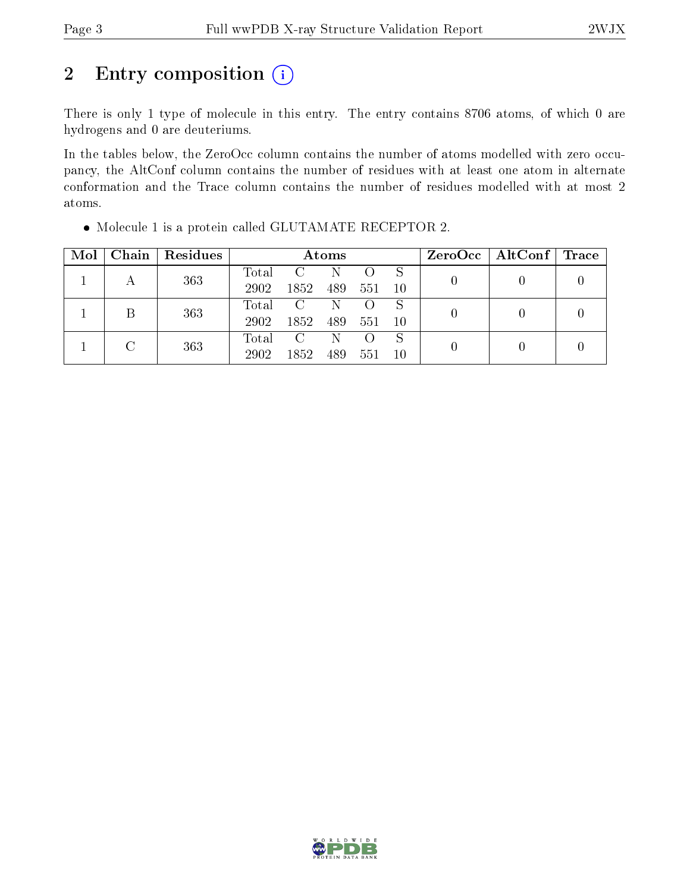# 2 Entry composition  $(i)$

There is only 1 type of molecule in this entry. The entry contains 8706 atoms, of which 0 are hydrogens and 0 are deuteriums.

In the tables below, the ZeroOcc column contains the number of atoms modelled with zero occupancy, the AltConf column contains the number of residues with at least one atom in alternate conformation and the Trace column contains the number of residues modelled with at most 2 atoms.

| Mol | Chain | Residues | Atoms |               |     |                  |    |  | $ZeroOcc \mid AltConf \mid$ | $\operatorname{Trace}$ |
|-----|-------|----------|-------|---------------|-----|------------------|----|--|-----------------------------|------------------------|
|     |       | 363      | Total | $\mathcal{C}$ |     |                  | S  |  |                             |                        |
|     |       |          | 2902  | 1852          | 489 | 551              | 10 |  |                             |                        |
|     |       | 363      | Total | $\rm C$       | N   |                  | S  |  |                             |                        |
|     |       |          | 2902  | 1852          | 489 | 551              | 10 |  |                             |                        |
|     |       |          | Total | $\mathbf C$   | N   | $\left( \right)$ | S  |  |                             |                        |
|     |       | 363      | 2902  | 1852          | 489 | 551              | 10 |  |                             |                        |

Molecule 1 is a protein called GLUTAMATE RECEPTOR 2.

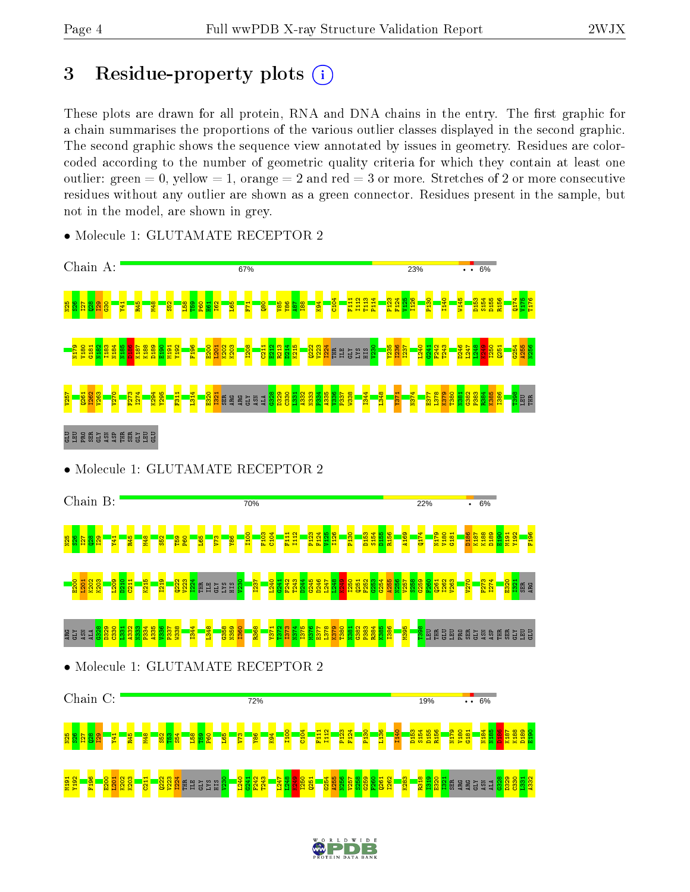# 3 Residue-property plots  $(i)$

These plots are drawn for all protein, RNA and DNA chains in the entry. The first graphic for a chain summarises the proportions of the various outlier classes displayed in the second graphic. The second graphic shows the sequence view annotated by issues in geometry. Residues are colorcoded according to the number of geometric quality criteria for which they contain at least one outlier: green  $= 0$ , yellow  $= 1$ , orange  $= 2$  and red  $= 3$  or more. Stretches of 2 or more consecutive residues without any outlier are shown as a green connector. Residues present in the sample, but not in the model, are shown in grey.



• Molecule 1: GLUTAMATE RECEPTOR 2

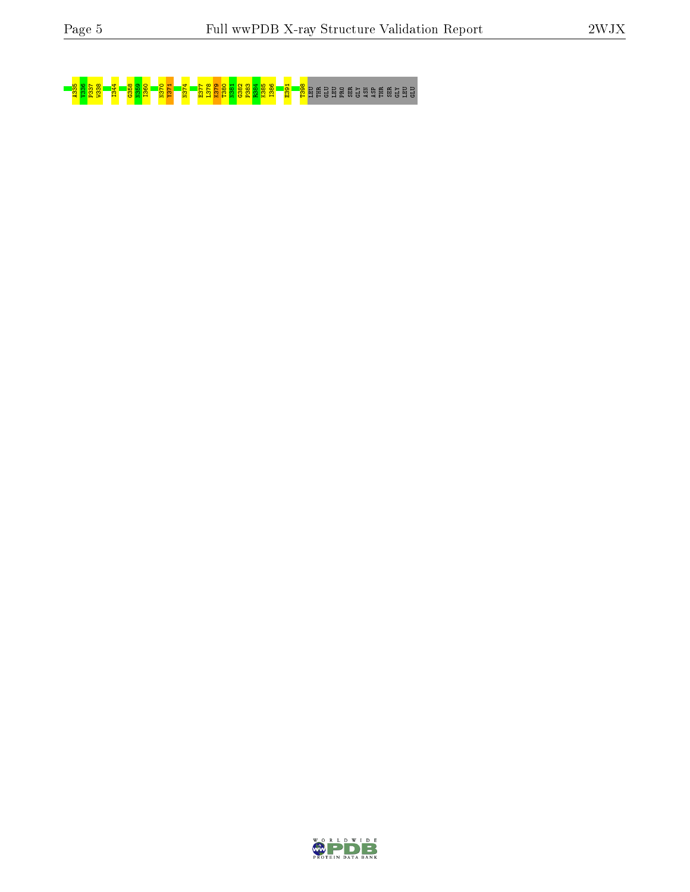# A335 V336 P337 W338 I344 G358 N359 I360 N370 Y371 N374 E377 L378 K379 T380 N381 G382 P383 R384 K385 I386 E391 T398 LEU THR GLU LEU PRO SER GLY ASN ASP THR SER GLY LEU GLU

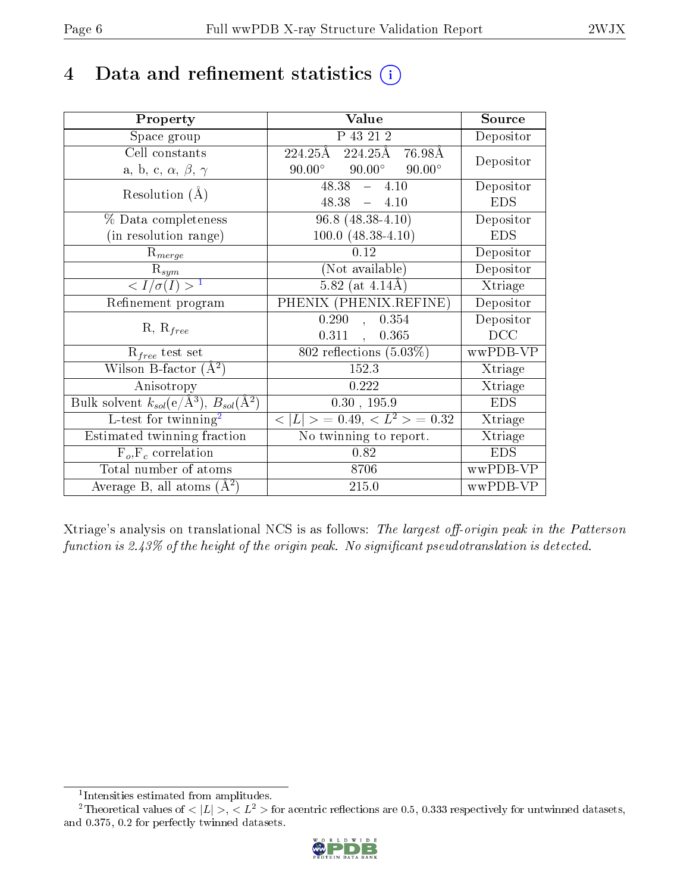# 4 Data and refinement statistics  $(i)$

| Property                                                             | Value                                           | Source     |
|----------------------------------------------------------------------|-------------------------------------------------|------------|
| Space group                                                          | P 43 21 2                                       | Depositor  |
| Cell constants                                                       | 224.25Å 76.98Å<br>224.25Å                       | Depositor  |
| a, b, c, $\alpha$ , $\beta$ , $\gamma$                               | $90.00^\circ$<br>$90.00^\circ$<br>$90.00^\circ$ |            |
| Resolution $(A)$                                                     | $48.38 - 4.10$                                  | Depositor  |
|                                                                      | $48.38 - 4.10$                                  | <b>EDS</b> |
| $\%$ Data completeness                                               | $96.8$ $(48.38 - 4.10)$                         | Depositor  |
| (in resolution range)                                                | $100.0 (48.38 - 4.10)$                          | <b>EDS</b> |
| $R_{merge}$                                                          | 0.12                                            | Depositor  |
| $\mathrm{R}_{sym}$                                                   | (Not available)                                 | Depositor  |
| $\langle I/\sigma(I) \rangle^{-1}$                                   | $5.82$ (at $4.14\text{\AA}$ )                   | Xtriage    |
| Refinement program                                                   | PHENIX (PHENIX.REFINE)                          | Depositor  |
|                                                                      | 0.290<br>0.354<br>$\mathbf{A}$                  | Depositor  |
| $R, R_{free}$                                                        | $0.311$ ,<br>0.365                              | DCC        |
| $R_{free}$ test set                                                  | 802 reflections $(5.03\%)$                      | wwPDB-VP   |
| Wilson B-factor $(A^2)$                                              | 152.3                                           | Xtriage    |
| Anisotropy                                                           | 0.222                                           | Xtriage    |
| Bulk solvent $k_{sol}(e/\mathring{A}^3)$ , $B_{sol}(\mathring{A}^2)$ | $0.30$ , 195.9                                  | <b>EDS</b> |
| L-test for $\overline{\text{twinning}}^2$                            | $< L >$ = 0.49, $< L^2 >$ = 0.32                | Xtriage    |
| Estimated twinning fraction                                          | No twinning to report.                          | Xtriage    |
| $\overline{F_o}, \overline{F_c}$ correlation                         | 0.82                                            | <b>EDS</b> |
| Total number of atoms                                                | 8706                                            | wwPDB-VP   |
| Average B, all atoms $(A^2)$                                         | 215.0                                           | wwPDB-VP   |

Xtriage's analysis on translational NCS is as follows: The largest off-origin peak in the Patterson function is  $2.43\%$  of the height of the origin peak. No significant pseudotranslation is detected.

<sup>&</sup>lt;sup>2</sup>Theoretical values of  $\langle |L| \rangle$ ,  $\langle L^2 \rangle$  for acentric reflections are 0.5, 0.333 respectively for untwinned datasets, and 0.375, 0.2 for perfectly twinned datasets.



<span id="page-5-1"></span><span id="page-5-0"></span><sup>1</sup> Intensities estimated from amplitudes.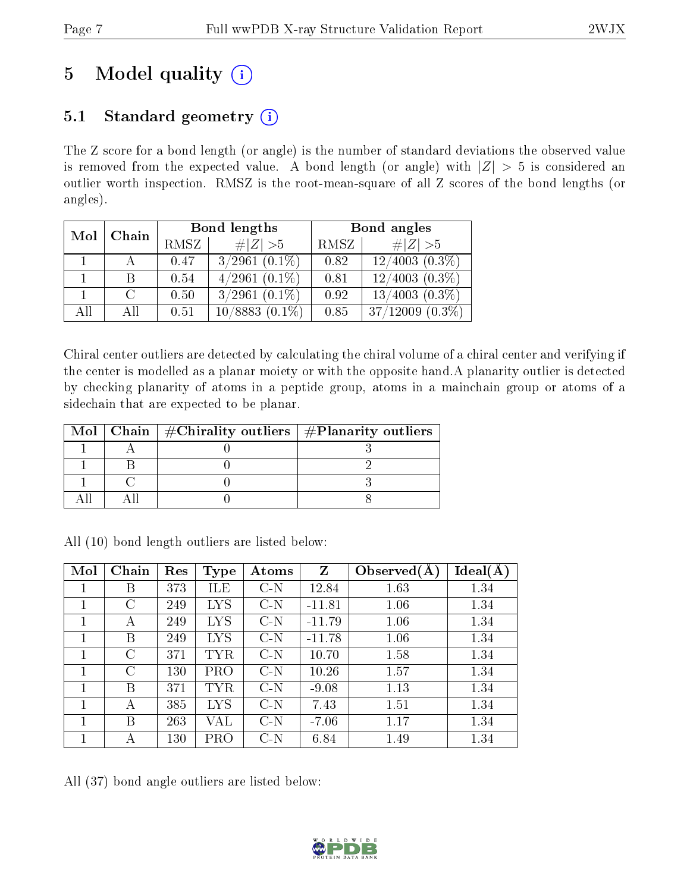# 5 Model quality  $(i)$

# 5.1 Standard geometry  $(i)$

The Z score for a bond length (or angle) is the number of standard deviations the observed value is removed from the expected value. A bond length (or angle) with  $|Z| > 5$  is considered an outlier worth inspection. RMSZ is the root-mean-square of all Z scores of the bond lengths (or angles).

| Mol | Chain |      | Bond lengths         | Bond angles |                       |  |
|-----|-------|------|----------------------|-------------|-----------------------|--|
|     |       | RMSZ | $\ Z\  > 5$          | RMSZ        | # $ Z >5$             |  |
|     |       | 0.47 | $3/2961$ $(0.1\%)$   | 0.82        | $12/4003(0.3\%)$      |  |
|     | В     | 0.54 | $4/2961(0.1\%)$      | 0.81        | $12/4003(0.3\%)$      |  |
|     |       | 0.50 | $3/2961$ $(0.1\%)$   | 0.92        | $13/4003(0.3\%)$      |  |
| All | All   | 0.51 | 10/8883<br>$(0.1\%)$ | 0.85        | 37/12009<br>$(0.3\%)$ |  |

Chiral center outliers are detected by calculating the chiral volume of a chiral center and verifying if the center is modelled as a planar moiety or with the opposite hand.A planarity outlier is detected by checking planarity of atoms in a peptide group, atoms in a mainchain group or atoms of a sidechain that are expected to be planar.

|  | Mol   Chain   $\#\text{Chirality outliers}$   $\#\text{Planarity outliers}$ |  |
|--|-----------------------------------------------------------------------------|--|
|  |                                                                             |  |
|  |                                                                             |  |
|  |                                                                             |  |
|  |                                                                             |  |

| Mol | Chain | Res | Type              | Atoms | Z        | Observed $(A)$ | Ideal(A |
|-----|-------|-----|-------------------|-------|----------|----------------|---------|
|     | Β     | 373 | ILE               | $C-N$ | 12.84    | 1.63           | 1.34    |
|     | C     | 249 | $_{\mathrm{LYS}}$ | $C-N$ | $-11.81$ | 1.06           | 1.34    |
|     | А     | 249 | $_{\mathrm{LYS}}$ | $C-N$ | $-11.79$ | 1.06           | 1.34    |
|     | В     | 249 | $_{\mathrm{LYS}}$ | $C-N$ | $-11.78$ | 1.06           | 1.34    |
|     | С     | 371 | TYR               | $C-N$ | 10.70    | 1.58           | 1.34    |
| 1   | C     | 130 | PRO               | $C-N$ | 10.26    | 1.57           | 1.34    |
|     | В     | 371 | TYR               | $C-N$ | $-9.08$  | 1.13           | 1.34    |
|     | А     | 385 | $_{\mathrm{LYS}}$ | $C-N$ | 7.43     | 1.51           | 1.34    |
|     | В     | 263 | VAL               | $C-N$ | $-7.06$  | 1.17           | 1.34    |
|     | А     | 130 | PRO               | $C-N$ | 6.84     | 1.49           | 1.34    |

All (10) bond length outliers are listed below:

All (37) bond angle outliers are listed below:

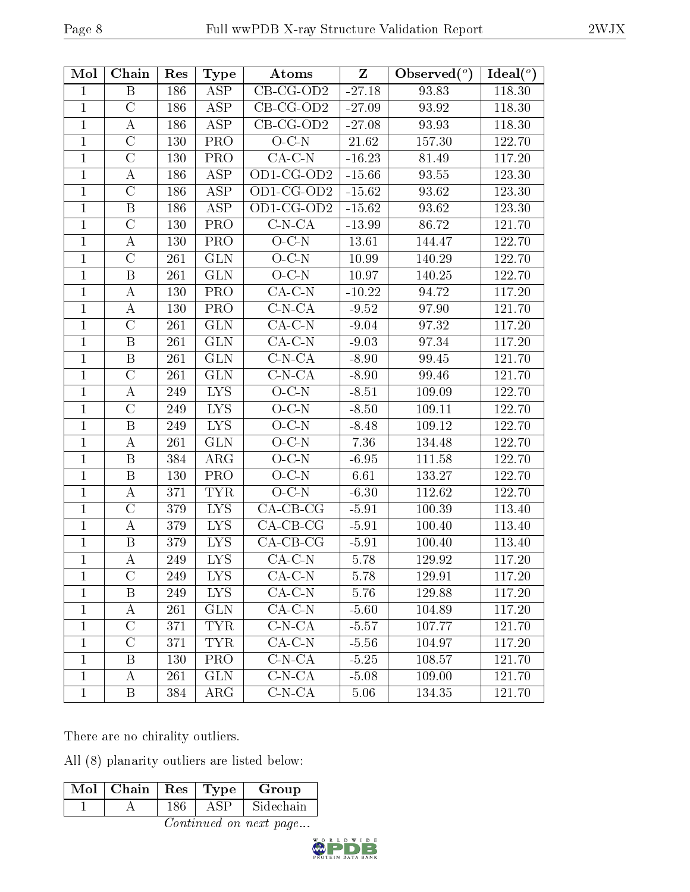| Mol            | Chain                   | Res        | <b>Type</b>             | Atoms                      | $\mathbf{Z}$ | Observed $(°)$ | Ideal $(°)$ |
|----------------|-------------------------|------------|-------------------------|----------------------------|--------------|----------------|-------------|
| $\mathbf{1}$   | $\boldsymbol{B}$        | 186        | ASP                     | $CB-CG-OD2$                | $-27.18$     | 93.83          | 118.30      |
| $\mathbf{1}$   | $\mathcal{C}$           | 186        | <b>ASP</b>              | $CB-CG-OD2$                | $-27.09$     | 93.92          | 118.30      |
| $\mathbf{1}$   | $\boldsymbol{A}$        | 186        | <b>ASP</b>              | $CB-CG-OD2$                | $-27.08$     | 93.93          | 118.30      |
| $\mathbf{1}$   | $\mathcal{C}$           | 130        | <b>PRO</b>              | $O-C-N$                    | $21.62\,$    | 157.30         | 122.70      |
| $\mathbf{1}$   | $\mathcal{C}$           | 130        | <b>PRO</b>              | $CA-C-N$                   | $-16.23$     | 81.49          | 117.20      |
| $\mathbf{1}$   | А                       | 186        | $\overline{\text{ASP}}$ | OD1-CG-OD2                 | $-15.66$     | 93.55          | 123.30      |
| $\mathbf{1}$   | $\overline{C}$          | 186        | <b>ASP</b>              | OD1-CG-OD2                 | $-15.62$     | 93.62          | 123.30      |
| $\mathbf{1}$   | $\, {\bf B}$            | 186        | ASP                     | OD1-CG-OD2                 | $-15.62$     | 93.62          | 123.30      |
| $\mathbf{1}$   | $\overline{C}$          | 130        | <b>PRO</b>              | $C-N-CA$                   | $-13.99$     | 86.72          | 121.70      |
| $\mathbf{1}$   | $\boldsymbol{A}$        | 130        | PRO                     | $O-C-N$                    | 13.61        | 144.47         | 122.70      |
| $\mathbf{1}$   | $\overline{\rm C}$      | 261        | <b>GLN</b>              | $O-C-N$                    | 10.99        | 140.29         | 122.70      |
| $\mathbf{1}$   | B                       | 261        | <b>GLN</b>              | $O-C-N$                    | 10.97        | 140.25         | 122.70      |
| $\mathbf{1}$   | А                       | 130        | PRO                     | $CA-C-N$                   | $-10.22$     | 94.72          | 117.20      |
| $\mathbf{1}$   | $\boldsymbol{A}$        | <b>130</b> | <b>PRO</b>              | $C-N-CA$                   | $-9.52$      | 97.90          | 121.70      |
| $\mathbf{1}$   | $\overline{C}$          | 261        | <b>GLN</b>              | $CA-C-N$                   | $-9.04$      | 97.32          | 117.20      |
| $\mathbf{1}$   | $\, {\bf B}$            | 261        | <b>GLN</b>              | $CA-C-N$                   | $-9.03$      | 97.34          | 117.20      |
| $\mathbf{1}$   | B                       | 261        | <b>GLN</b>              | $C-N-CA$                   | $-8.90$      | 99.45          | 121.70      |
| $\mathbf{1}$   | $\overline{\rm C}$      | 261        | <b>GLN</b>              | $\overline{\text{C-N-CA}}$ | $-8.90$      | 99.46          | 121.70      |
| $\mathbf{1}$   | A                       | 249        | LYS.                    | $O-C-N$                    | $-8.51$      | 109.09         | 122.70      |
| $\mathbf{1}$   | $\mathcal{C}$           | 249        | <b>LYS</b>              | $O-C-N$                    | $-8.50$      | 109.11         | 122.70      |
| $\mathbf{1}$   | B                       | 249        | LYS.                    | $O-C-N$                    | $-8.48$      | 109.12         | 122.70      |
| $\mathbf{1}$   | $\bf{A}$                | 261        | <b>GLN</b>              | $O-C-N$                    | 7.36         | 134.48         | 122.70      |
| $\mathbf{1}$   | B                       | 384        | $\rm{ARG}$              | $O-C-N$                    | $-6.95$      | 111.58         | 122.70      |
| $\mathbf{1}$   | $\, {\bf B}$            | 130        | <b>PRO</b>              | $O-C-N$                    | 6.61         | 133.27         | 122.70      |
| $\mathbf{1}$   | $\bf{A}$                | 371        | <b>TYR</b>              | $O-C-N$                    | $-6.30$      | 112.62         | 122.70      |
| $\mathbf{1}$   | $\mathcal{C}$           | 379        | IYS                     | $CA-CB-CG$                 | $-5.91$      | 100.39         | 113.40      |
| $\mathbf{1}$   | $\boldsymbol{A}$        | 379        | <b>LYS</b>              | $CA-CB-CG$                 | $-5.91$      | 100.40         | 113.40      |
| $\overline{1}$ | $\overline{\mathrm{B}}$ | 379        | I <sub>NS</sub>         | $CA-CB-CG$                 | $-5.91$      | 100.40         | 113.40      |
| $\mathbf{1}$   | A                       | 249        | <b>LYS</b>              | $CA-C-N$                   | 5.78         | 129.92         | 117.20      |
| 1              | $\overline{\rm C}$      | 249        | $\overline{\text{LYS}}$ | $CA-C-N$                   | 5.78         | 129.91         | 117.20      |
| $\mathbf{1}$   | Β                       | 249        | LYS.                    | $CA-C-N$                   | 5.76         | 129.88         | 117.20      |
| $\mathbf{1}$   | А                       | 261        | <b>GLN</b>              | $CA-C-N$                   | $-5.60$      | 104.89         | 117.20      |
| $\mathbf{1}$   | $\mathcal{C}$           | 371        | <b>TYR</b>              | $C-N-CA$                   | $-5.57$      | 107.77         | 121.70      |
| $\mathbf{1}$   | $\mathcal{C}$           | 371        | <b>TYR</b>              | $CA-C-N$                   | $-5.56$      | 104.97         | 117.20      |
| $\mathbf{1}$   | B                       | 130        | <b>PRO</b>              | $C-N-CA$                   | $-5.25$      | 108.57         | 121.70      |
| $\mathbf{1}$   | A                       | 261        | <b>GLN</b>              | $C-N-CA$                   | $-5.08$      | 109.00         | 121.70      |
| $\mathbf{1}$   | B                       | 384        | $\rm{ARG}$              | $C-N-CA$                   | 5.06         | 134.35         | 121.70      |

There are no chirality outliers.

All (8) planarity outliers are listed below:

|  | $\overline{\text{Mol}}$   Chain   Res   Type |  |            | Group     |  |
|--|----------------------------------------------|--|------------|-----------|--|
|  |                                              |  | <b>ASP</b> | Sidechain |  |
|  |                                              |  |            |           |  |

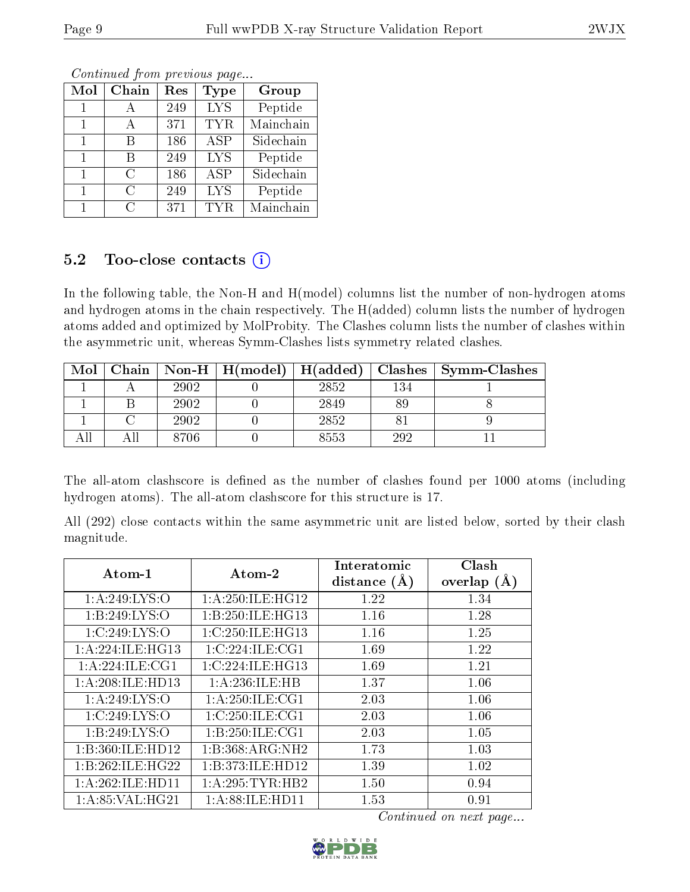| Mol          | Chain         | Res | Type       | Group     |
|--------------|---------------|-----|------------|-----------|
|              |               | 249 | <b>LYS</b> | Peptide   |
| 1            | $\mathsf{A}$  | 371 | <b>TYR</b> | Mainchain |
| $\mathbf{1}$ | R             | 186 | ASP        | Sidechain |
| 1            | R             | 249 | <b>LYS</b> | Peptide   |
| $\mathbf{1}$ | $\cap$        | 186 | <b>ASP</b> | Sidechain |
| 1            | C             | 249 | <b>LYS</b> | Peptide   |
|              | $\mathcal{C}$ | 371 | TYR.       | Mainchain |

# 5.2 Too-close contacts  $(i)$

In the following table, the Non-H and H(model) columns list the number of non-hydrogen atoms and hydrogen atoms in the chain respectively. The H(added) column lists the number of hydrogen atoms added and optimized by MolProbity. The Clashes column lists the number of clashes within the asymmetric unit, whereas Symm-Clashes lists symmetry related clashes.

| Mol | Chain |      | $\mid$ Non-H $\mid$ H(model) $\mid$ H(added) |      |     | $Class \mid Symm$ -Clashes |
|-----|-------|------|----------------------------------------------|------|-----|----------------------------|
|     |       | 2902 |                                              | 2852 | 134 |                            |
|     |       | 2902 |                                              | 2849 | 89  |                            |
|     |       | 2902 |                                              | 2852 |     |                            |
|     |       | 8706 |                                              | 8553 | 292 |                            |

The all-atom clashscore is defined as the number of clashes found per 1000 atoms (including hydrogen atoms). The all-atom clashscore for this structure is 17.

All (292) close contacts within the same asymmetric unit are listed below, sorted by their clash magnitude.

| $Atom-1$            | Atom-2              | Interatomic    | Clash         |
|---------------------|---------------------|----------------|---------------|
|                     |                     | distance $(A)$ | overlap $(A)$ |
| 1: A:249: LYS:O     | 1: A:250: ILE: HG12 | 1.22           | 1.34          |
| 1: B:249: LYS:O     | 1:B:250:ILE:HG13    | 1.16           | 1.28          |
| 1:C:249:LYS:O       | 1:C:250:ILE:HG13    | 1.16           | 1.25          |
| 1: A:224: ILE: HG13 | 1:C:224:ILE:CG1     | 1.69           | 1.22          |
| 1: A:224: ILE:CG1   | 1:C:224:ILE:HG13    | 1.69           | 1.21          |
| 1:A:208:ILE:HD13    | 1: A:236: ILE: HB   | 1.37           | 1.06          |
| 1: A:249: LYS:O     | 1: A:250: ILE: CG1  | 2.03           | 1.06          |
| 1:C:249:LYS:O       | 1:C:250:ILE:CG1     | 2.03           | 1.06          |
| 1:B:249:LYS:O       | 1:B:250:ILE:CG1     | 2.03           | 1.05          |
| 1:B:360:ILE:HD12    | 1:B:368:ARG:NH2     | 1.73           | 1.03          |
| 1:B:262:ILE:HG22    | 1:B:373:ILE:HD12    | 1.39           | 1.02          |
| 1:A:262:ILE:HD11    | 1:A:295:TYR:HB2     | 1.50           | 0.94          |
| 1: A:85: VAL:HG21   | 1: A:88: ILE: HD11  | 1.53           | 0.91          |

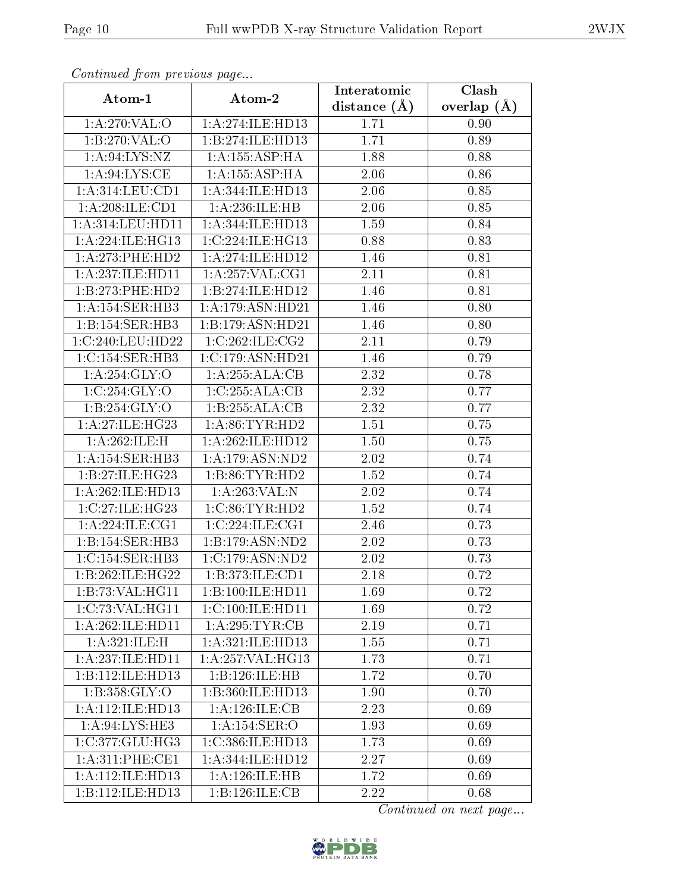| Continuea from previous page |                    | Interatomic    | Clash         |
|------------------------------|--------------------|----------------|---------------|
| Atom-1                       | Atom-2             | distance $(A)$ | overlap $(A)$ |
| 1:A:270:VAL:O                | 1:A:274:ILE:HD13   | 1.71           | 0.90          |
| 1:B:270:VAL:O                | 1:B:274:ILE:HD13   | 1.71           | 0.89          |
| 1: A:94: LYS: NZ             | 1: A: 155: ASP: HA | 1.88           | 0.88          |
| 1: A:94: LYS: CE             | 1: A: 155: ASP:HA  | 2.06           | 0.86          |
| 1:A:314:LEU:CD1              | 1:A:344:ILE:HD13   | 2.06           | 0.85          |
| 1:A:208:ILE:CD1              | 1:A:236:ILE:HB     | 2.06           | 0.85          |
| 1: A:314:LEU:HD11            | 1:A:344:ILE:HD13   | 1.59           | 0.84          |
| 1: A:224: ILE: HG13          | 1:C:224:ILE:HG13   | 0.88           | 0.83          |
| $1: A:273:$ PHE:HD2          | 1:A:274:ILE:HD12   | 1.46           | 0.81          |
| 1:A:237:ILE:HD11             | 1: A:257: VAL:CG1  | 2.11           | 0.81          |
| 1:B:273:PHE:HD2              | 1:B:274:ILE:HD12   | 1.46           | 0.81          |
| 1:A:154:SER:HB3              | 1:A:179:ASN:HD21   | 1.46           | 0.80          |
| 1:B:154:SER:HB3              | 1:B:179:ASN:HD21   | 1.46           | 0.80          |
| 1:C:240:LEU:HD22             | 1:C:262:ILE:CG2    | 2.11           | 0.79          |
| 1:C:154:SER:HB3              | 1:C:179:ASN:HD21   | 1.46           | 0.79          |
| 1:A:254:GLY:O                | 1:A:255:ALA:CB     | 2.32           | 0.78          |
| 1:C:254:GLY:O                | 1:C:255:ALA:CB     | 2.32           | 0.77          |
| 1: B:254: GLY:O              | 1:B:255:ALA:CB     | 2.32           | 0.77          |
| 1:A:27:ILE:HG23              | 1: A:86: TYR: HD2  | 1.51           | 0.75          |
| 1:A:262:ILE:H                | 1:A:262:ILE:HD12   | 1.50           | 0.75          |
| 1:A:154:SER:HB3              | 1:A:179:ASN:ND2    | 2.02           | 0.74          |
| 1:B:27:ILE:HG23              | 1: B:86: TYR:HD2   | 1.52           | 0.74          |
| 1:A:262:ILE:HD13             | 1:A:263:VAL:N      | 2.02           | 0.74          |
| 1:C:27:ILE:HG23              | 1:C:86:TYR:HD2     | 1.52           | 0.74          |
| 1: A:224: ILE: CG1           | 1:C:224:ILE:CG1    | 2.46           | 0.73          |
| 1:B:154:SER:HB3              | 1:B:179:ASN:ND2    | 2.02           | 0.73          |
| 1:C:154:SER:HB3              | 1:C:179:ASN:ND2    | 2.02           | 0.73          |
| 1:B:262:ILE:HG22             | 1:B:373:ILE:CD1    | 2.18           | 0.72          |
| 1:B:73:VAL:HG11              | 1:B:100:ILE:HD11   | 1.69           | 0.72          |
| 1:C:73:VAL:HG11              | 1:C:100:ILE:HD11   | 1.69           | 0.72          |
| 1:A:262:ILE:HD11             | 1: A:295:TYR:CB    | 2.19           | 0.71          |
| 1:A:321:ILE:H                | 1:A:321:ILE:HD13   | 1.55           | 0.71          |
| 1:A:237:ILE:HD11             | 1:A:257:VAL:HG13   | 1.73           | 0.71          |
| 1:B:112:ILE:HD13             | 1:B:126:ILE:HB     | 1.72           | 0.70          |
| 1:B:358:GLY:O                | 1:B:360:ILE:HD13   | 1.90           | 0.70          |
| 1:A:112:ILE:HD13             | 1: A:126: ILE: CB  | 2.23           | 0.69          |
| 1:A:94:LYS:HE3               | 1:A:154:SER:O      | 1.93           | 0.69          |
| 1:C:377:GLU:HG3              | 1:C:386:ILE:HD13   | 1.73           | 0.69          |
| 1: A:311: PHE:CE1            | 1:A:344:ILE:HD12   | 2.27           | 0.69          |
| 1:A:112:ILE:HD13             | 1:A:126:ILE:HB     | 1.72           | 0.69          |
| 1:B:112:ILE:HD13             | 1:B:126:ILE:CB     | 2.22           | 0.68          |

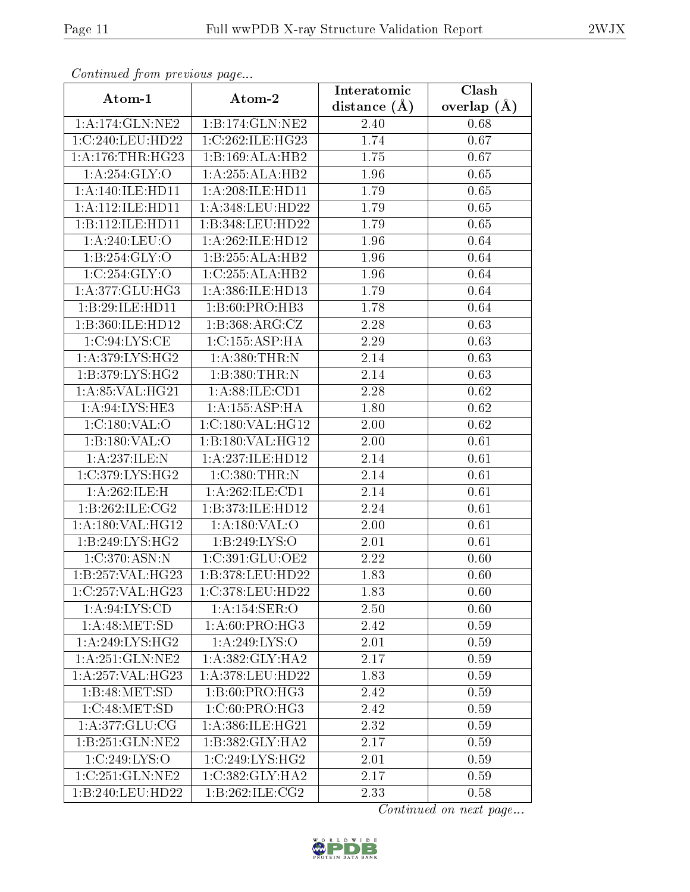| сонинией јтот ртеvиоиз раде |                      | Interatomic    | Clash             |
|-----------------------------|----------------------|----------------|-------------------|
| Atom-1                      | Atom-2               | distance $(A)$ | overlap $(\AA)$   |
| 1:A:174:GLN:NE2             | 1:B:174:GLN:NE2      | 2.40           | 0.68              |
| 1:C:240:LEU:HD22            | 1:C:262:ILE:HG23     | 1.74           | 0.67              |
| 1: A:176:THR:HG23           | 1:B:169:ALA:HB2      | 1.75           | 0.67              |
| 1:A:254:GLY:O               | 1:A:255:ALA:HB2      | 1.96           | 0.65              |
| 1: A:140: ILE: HD11         | 1:A:208:ILE:HD11     | 1.79           | 0.65              |
| 1:A:112:ILE:HDI1            | 1:A:348:LEU:HD22     | 1.79           | 0.65              |
| 1:B:112:ILE:HD11            | 1:B:348:LEU:HD22     | 1.79           | 0.65              |
| 1:A:240:LEU:O               | 1:A:262:ILE:HD12     | 1.96           | 0.64              |
| 1: B:254: GLY:O             | 1:B:255:ALA:HB2      | 1.96           | 0.64              |
| 1:C:254:GLY:O               | 1:C:255:ALA:HB2      | 1.96           | 0.64              |
| 1:A:377:GLU:HG3             | 1:A:386:ILE:HD13     | 1.79           | 0.64              |
| 1:B:29:ILE:HD11             | 1: B:60: PRO:HB3     | 1.78           | 0.64              |
| 1:B:360:ILE:HD12            | 1:B:368:ARG:CZ       | 2.28           | 0.63              |
| 1:C:94:LYS:CE               | 1:C:155:ASP:HA       | 2.29           | 0.63              |
| 1:A:379:LYS:HG2             | 1: A:380:THR:N       | 2.14           | 0.63              |
| 1:B:379:LYS:HG2             | 1:B:380:THR:N        | 2.14           | 0.63              |
| 1:A:85:VAL:HG21             | 1:A:88:ILE:CD1       | 2.28           | 0.62              |
| 1: A:94: LYS: HE3           | 1:A:155:ASP:HA       | 1.80           | 0.62              |
| 1:C:180:VAL:O               | 1:C:180:VAL:HG12     | 2.00           | 0.62              |
| 1:B:180:VAL:O               | 1:B:180:VAL:HG12     | 2.00           | 0.61              |
| 1:A:237:ILE:N               | 1:A:237:ILE:HD12     | 2.14           | 0.61              |
| 1:C:379:LYS:HG2             | 1:C:380:THR:N        | 2.14           | $\overline{0.61}$ |
| 1:A:262:ILE:H               | 1:A:262:ILE:CD1      | 2.14           | 0.61              |
| 1: B:262: ILE: CG2          | 1:B:373:ILE:HD12     | 2.24           | 0.61              |
| 1:A:180:VAL:HG12            | 1: A: 180: VAL: O    | 2.00           | 0.61              |
| 1:B:249:LYS:HG2             | 1:B:249:LYS:O        | 2.01           | 0.61              |
| 1:C:370:ASN:N               | 1:C:391:GLU:OE2      | 2.22           | 0.60              |
| 1:B:257:VAL:HG23            | 1:B:378:LEU:HD22     | 1.83           | 0.60              |
| 1:C:257:VAL:HG23            | 1:C:378:LEU:HD22     | 1.83           | 0.60              |
| 1: A:94: LYS:CD             | 1:A:154:SER:O        | 2.50           | 0.60              |
| 1: A:48: MET:SD             | 1: A:60: PRO:HG3     | 2.42           | 0.59              |
| 1: A:249: LYS: HG2          | 1:A:249:LYS:O        | 2.01           | 0.59              |
| 1: A:251: GLN:NE2           | 1: A: 382: GLY: HA2  | 2.17           | 0.59              |
| 1:A:257:VAL:HG23            | $1: A:378:$ LEU:HD22 | 1.83           | 0.59              |
| 1:B:48:MET:SD               | 1:B:60:PRO:HG3       | 2.42           | 0.59              |
| 1:C:48:MET:SD               | 1: C:60: PRO:HG3     | 2.42           | 0.59              |
| 1: A:377: GLU: CG           | 1:A:386:ILE:HG21     | 2.32           | 0.59              |
| 1:B:251:GLN:NE2             | 1:B:382:GLY:HA2      | 2.17           | 0.59              |
| 1:C:249:LYS:O               | 1:C:249:LYS:HG2      | 2.01           | 0.59              |
| 1:C:251:GLN:NE2             | 1:C:382:GLY:HA2      | 2.17           | 0.59              |
| 1:B:240:LEU:HD22            | 1:B:262:ILE:CG2      | 2.33           | 0.58              |

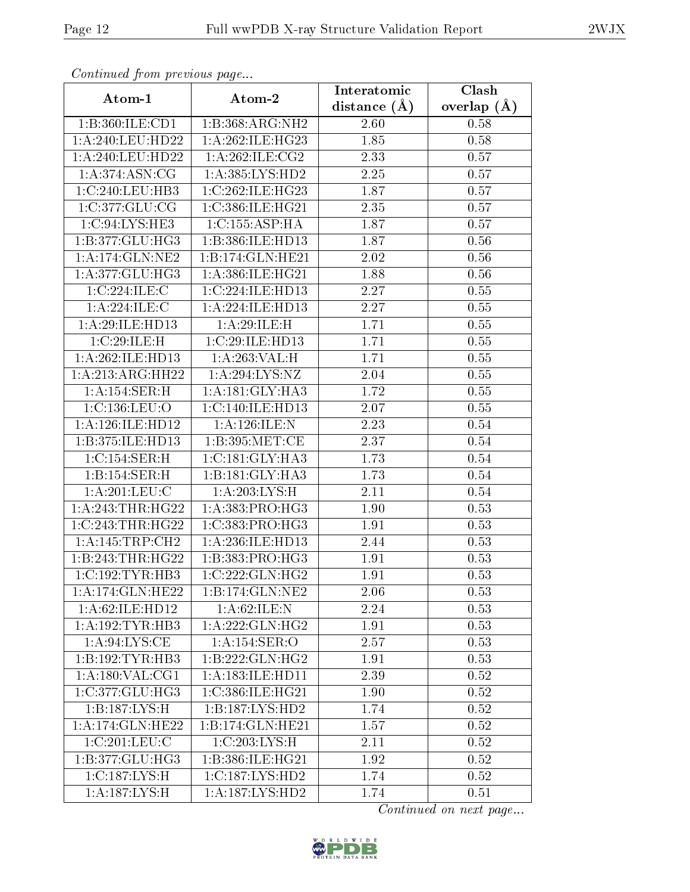| Communa from previous page |                                     | Interatomic       | $\overline{\text{Clash}}$ |
|----------------------------|-------------------------------------|-------------------|---------------------------|
| Atom-1                     | Atom-2                              | distance $(A)$    | overlap $(A)$             |
| 1:B:360:ILE:CD1            | 1:B:368:ARG:NH2                     | 2.60              | 0.58                      |
| 1:A:240:LEU:HD22           | 1:A:262:ILE:HG23                    | 1.85              | 0.58                      |
| $1: A:240:$ LEU:HD22       | 1: A:262: ILE: CG2                  | 2.33              | 0.57                      |
| 1: A:374: ASN: CG          | 1: A:385:LYS:HD2                    | 2.25              | 0.57                      |
| 1:C:240:LEU:HB3            | 1:C:262:ILE:HG23                    | 1.87              | 0.57                      |
| 1:C:377:CLU:CG             | 1:C:386:ILE:HG21                    | 2.35              | 0.57                      |
| 1:C:94:LYS:HE3             | 1:C:155:ASP:HA                      | 1.87              | 0.57                      |
| 1:B:377:GLU:HG3            | 1:B:386:ILE:HD13                    | 1.87              | 0.56                      |
| 1:A:174:GLN:NE2            | 1:B:174:GLN:HE21                    | 2.02              | 0.56                      |
| 1:A:377:GLU:HG3            | 1:A:386:ILE:HG21                    | 1.88              | 0.56                      |
| 1:C:224:ILE:C              | 1:C:224:ILE:HD13                    | 2.27              | 0.55                      |
| 1: A:224: ILE:C            | 1:A:224:ILE:HD13                    | 2.27              | 0.55                      |
| 1:A:29:ILE:HD13            | 1:A:29:ILE:H                        | 1.71              | 0.55                      |
| 1:C:29:ILE:H               | 1:C:29:ILE:HD13                     | 1.71              | 0.55                      |
| 1:A:262:ILE:HD13           | 1:A:263:VAL:H                       | 1.71              | 0.55                      |
| 1:A:213:ARG:HH22           | 1:A:294:LYS:NZ                      | 2.04              | 0.55                      |
| 1: A:154:SER:H             | 1:A:181:GLY:HA3                     | 1.72              | 0.55                      |
| 1:C:136:LEU:O              | 1:C:140:ILE:HD13                    | 2.07              | 0.55                      |
| 1: A:126: ILE: HD12        | 1:A:126:ILE:N                       | 2.23              | $0.54\,$                  |
| 1:B:375:ILE:HD13           | 1: B: 395: MET:CE                   | 2.37              | 0.54                      |
| 1:C:154:SER:H              | 1:C:181:GLY:HA3                     | 1.73              | 0.54                      |
| 1: B: 154: SER:H           | 1:B:181:GLY:HA3                     | 1.73              | 0.54                      |
| 1: A:201:LEU:C             | 1: A:203: LYS:H                     | 2.11              | 0.54                      |
| 1: A:243:THR:HG22          | 1: A: 383: PRO:HG3                  | 1.90              | 0.53                      |
| 1:C:243:THR:HG22           | 1:C:383:PRO:HG3                     | 1.91              | 0.53                      |
| 1: A:145:TRP:CH2           | 1:A:236:ILE:HD13                    | 2.44              | 0.53                      |
| 1:B:243:THR:HG22           | 1:B:383:PRO:HG3                     | 1.91              | 0.53                      |
| 1:C:192:TYR:HB3            | 1:C:222:GLN:HG2                     | 1.91              | 0.53                      |
| 1:A:174:GLN:HE22           | 1:B:174:GLN:NE2                     | 2.06              | 0.53                      |
| 1:A:62:ILE:HD12            | 1: A:62: ILE:N                      | 2.24              | 0.53                      |
| 1:A:192:TYR:HB3            | 1: A:222: GLN: HG2                  | 1.91              | 0.53                      |
| 1: A:94: LYS:CE            | 1:A:154:SER:O                       | 2.57              | 0.53                      |
| 1:B:192:TYR:HB3            | 1:B:222:GLN:HG2                     | $\overline{1}.91$ | 0.53                      |
| 1: A: 180: VAL: CG1        | 1: A: 183: ILE: HD11                | 2.39              | 0.52                      |
| 1:C:377:GLU:HG3            | 1:C:386:ILE:HG21                    | 1.90              | 0.52                      |
| 1:B:187:LYS:H              | 1:B:187:LYS:HD2                     | 1.74              | 0.52                      |
| 1:A:174:GLN:HE22           | 1:B:174:GLN:HE21                    | 1.57              | 0.52                      |
| 1:C:201:LEU:C              | 1:C:203:LYS:H                       | 2.11              | 0.52                      |
| 1:B:377:GLU:HG3            | 1:B:386:ILE:HG21                    | 1.92              | 0.52                      |
| 1:C:187:LYS:H              | 1:C:187:LYS:HD2                     | 1.74              | 0.52                      |
| 1:A:187:LYS:H              | $1:A:187:\overline{\text{LYS:HD2}}$ | 1.74              | 0.51                      |

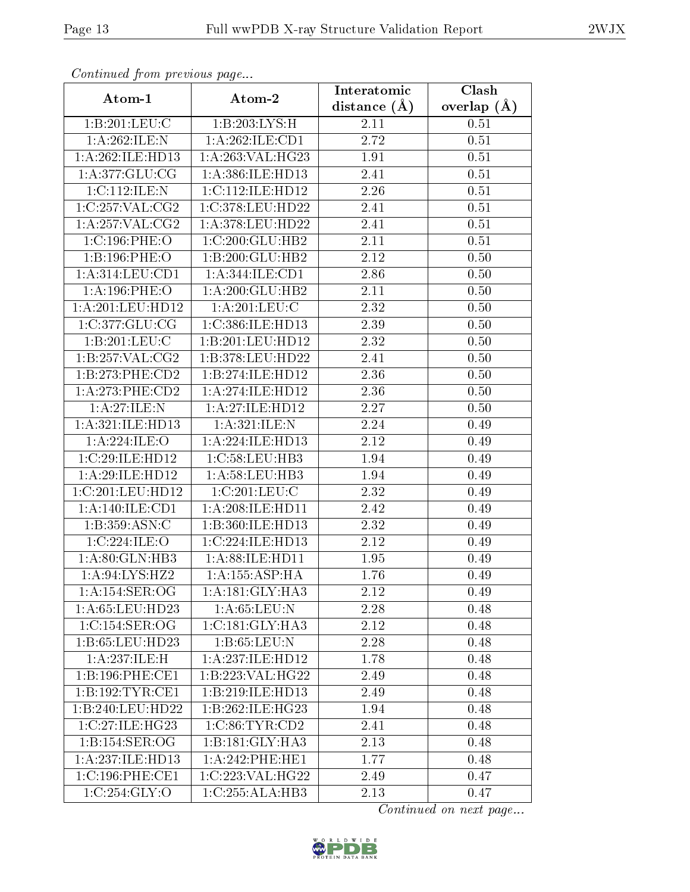| Communica from precious page |                    | Interatomic      | Clash         |
|------------------------------|--------------------|------------------|---------------|
| Atom-1                       | Atom-2             | distance $(\AA)$ | overlap $(A)$ |
| 1:B:201:LEU:C                | 1:B:203:LYS:H      | 2.11             | 0.51          |
| 1:A:262:ILE:N                | 1:A:262:ILE:CD1    | 2.72             | 0.51          |
| 1:A:262:ILE:HD13             | 1:A:263:VAL:HG23   | 1.91             | 0.51          |
| 1:A:377:GLU:CG               | 1:A:386:ILE:HD13   | 2.41             | 0.51          |
| 1:C:112:ILE:N                | 1:C:112:ILE:HD12   | 2.26             | 0.51          |
| 1:C:257:VAL:CG2              | 1:C:378:LEU:HD22   | 2.41             | 0.51          |
| $1:A:2\overline{57:VAL:CG2}$ | 1:A:378:LEU:HD22   | 2.41             | 0.51          |
| 1:C:196:PHE:O                | 1:C:200:GLU:HB2    | 2.11             | 0.51          |
| 1:B:196:PHE:O                | 1:B:200:GLU:HB2    | 2.12             | 0.50          |
| 1: A:314:LEU:CD1             | 1:A:344:ILE:CD1    | 2.86             | 0.50          |
| 1:A:196:PHE:O                | 1:A:200:GLU:HB2    | 2.11             | 0.50          |
| 1:A:201:LEU:HD12             | 1: A:201:LEU:C     | 2.32             | 0.50          |
| 1:C:377:GLU:CG               | 1:C:386:ILE:HD13   | 2.39             | 0.50          |
| 1:B:201:LEU:C                | 1:B:201:LEU:HD12   | 2.32             | 0.50          |
| 1:B:257:VAL:CG2              | 1:B:378:LEU:HD22   | 2.41             | 0.50          |
| 1:B:273:PHE:CD2              | 1:B:274:ILE:HD12   | 2.36             | 0.50          |
| 1:A:273:PHE:CD2              | 1:A:274:ILE:HD12   | 2.36             | 0.50          |
| 1:A:27:ILE:N                 | 1: A:27: ILE: HD12 | 2.27             | 0.50          |
| 1:A:321:ILE:HD13             | 1: A:321: ILE:N    | 2.24             | 0.49          |
| 1:A:224:ILE:O                | 1:A:224:ILE:HD13   | 2.12             | 0.49          |
| 1:C:29:ILE:HD12              | 1:C:58:LEU:HB3     | 1.94             | 0.49          |
| 1:A:29:ILE:HD12              | 1:A:58:LEU:HB3     | 1.94             | 0.49          |
| 1:C:201:LEU:HD12             | 1:C:201:LEU:C      | 2.32             | 0.49          |
| 1:A:140:ILE:CD1              | 1:A:208:ILE:HD11   | 2.42             | 0.49          |
| 1:B:359:ASN:C                | 1:B:360:ILE:HD13   | 2.32             | 0.49          |
| 1:C:224:ILE:O                | 1:C:224:ILE:HD13   | 2.12             | 0.49          |
| 1:A:80:GLN:HB3               | 1: A:88: ILE: HD11 | 1.95             | 0.49          |
| 1:A:94:LYS:HZ2               | 1: A: 155: ASP:HA  | 1.76             | 0.49          |
| 1: A:154: SER:OG             | 1:A:181:GLY:HA3    | 2.12             | 0.49          |
| 1: A:65:LEU:HD23             | 1:A:65:LEU:N       | 2.28             | 0.48          |
| 1:C:154:SER:OG               | 1:C:181:GLY:HA3    | 2.12             | 0.48          |
| 1:B:65:LEU:HD23              | 1:B:65:LEU:N       | 2.28             | 0.48          |
| 1:A:237:ILE:H                | 1:A:237:ILE:HD12   | 1.78             | 0.48          |
| 1:B:196:PHE:CE1              | 1:B:223:VAL:HG22   | 2.49             | 0.48          |
| 1:B:192:TYR:CE1              | 1:B:219:ILE:HD13   | 2.49             | 0.48          |
| 1:B:240:LEU:HD22             | 1:B:262:ILE:HG23   | 1.94             | 0.48          |
| 1:C:27:ILE:HG23              | 1:C:86:TYR:CD2     | 2.41             | 0.48          |
| 1:B:154:SER:OG               | 1:B:181:GLY:HA3    | 2.13             | 0.48          |
| 1:A:237:ILE:HD13             | 1:A:242:PHE:HE1    | 1.77             | 0.48          |
| 1:C:196:PHE:CE1              | 1:C:223:VAL:HG22   | 2.49             | 0.47          |
| 1:C:254:GLY:O                | 1:C:255:ALA:HB3    | 2.13             | 0.47          |

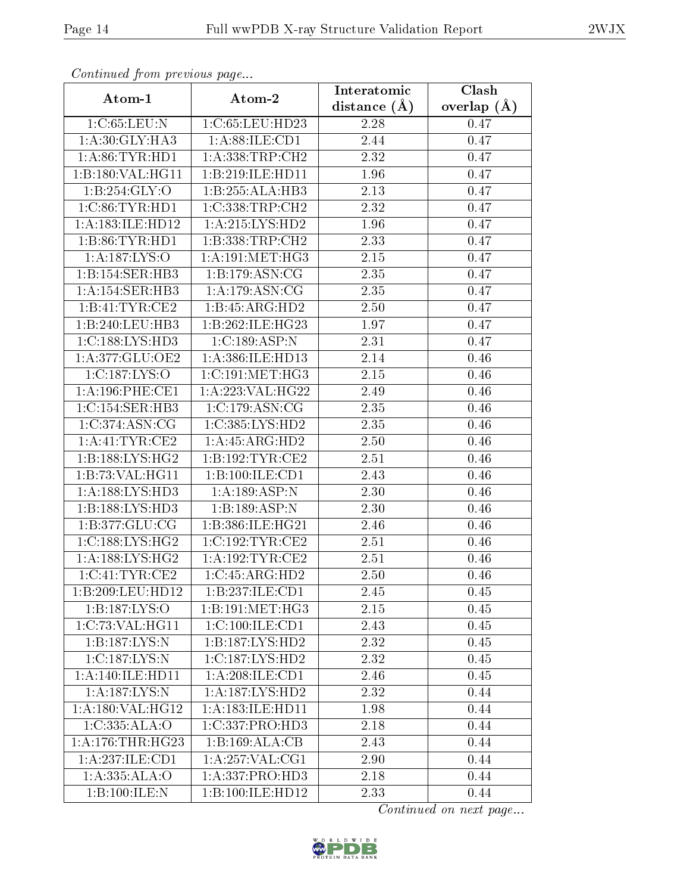| Continuea from previous page |                                     | Interatomic    | Clash           |
|------------------------------|-------------------------------------|----------------|-----------------|
| Atom-1                       | Atom-2                              | distance $(A)$ | overlap $(\AA)$ |
| 1:C:65:LEU:N                 | 1:C:65:LEU:HD23                     | 2.28           | 0.47            |
| 1: A:30: GLY: HA3            | 1: A:88: ILE: CD1                   | 2.44           | 0.47            |
| 1: A:86:TYR:HD1              | $1:\overline{A}:338:\text{TRP}:CH2$ | 2.32           | 0.47            |
| 1:B:180:VAL:HG11             | 1:B:219:ILE:HD11                    | 1.96           | 0.47            |
| 1: B:254: GLY:O              | 1:B:255:ALA:HB3                     | 2.13           | 0.47            |
| 1:C:86:TYR:HD1               | 1:C:338:TRP:CH2                     | 2.32           | 0.47            |
| 1:A:183:ILE:HD12             | $1:$ A:215:LYS:HD2                  | 1.96           | 0.47            |
| 1:B:86:TYR:HD1               | 1:B:338:TRP:CH2                     | 2.33           | 0.47            |
| 1: A: 187: LYS: O            | 1: A:191: MET:HG3                   | 2.15           | 0.47            |
| 1:B:154:SER:HB3              | 1:B:179:ASN:CG                      | 2.35           | 0.47            |
| 1:A:154:SER:HB3              | 1: A:179: ASN:CG                    | 2.35           | 0.47            |
| 1:B:41:TYR:CE2               | 1:B:45:ARG:HD2                      | 2.50           | 0.47            |
| 1:B:240:LEU:HB3              | 1:B:262:ILE:HG23                    | 1.97           | 0.47            |
| 1:C:188:LYS:HD3              | 1:C:189:ASP:N                       | 2.31           | 0.47            |
| 1:A:377:GLU:OE2              | 1:A:386:ILE:HD13                    | 2.14           | 0.46            |
| 1:C:187:LYS:O                | 1:C:191:MET:HG3                     | 2.15           | 0.46            |
| 1: A:196:PHE:CE1             | 1:A:223:VAL:HG22                    | 2.49           | 0.46            |
| 1:C:154:SER:HB3              | 1:C:179:ASN:CG                      | 2.35           | 0.46            |
| 1:C:374:ASN:CG               | 1:C:385:LYS:HD2                     | 2.35           | 0.46            |
| 1: A: 41: TYR: CE2           | 1: A: 45: ARG: HD2                  | 2.50           | 0.46            |
| 1:B:188:LYS:HG2              | 1:B:192:TYR:CE2                     | 2.51           | 0.46            |
| 1:B:73:VAL:HG11              | 1:B:100:ILE:CD1                     | 2.43           | 0.46            |
| 1: A: 188: LYS: HD3          | 1:A:189:ASP:N                       | 2.30           | 0.46            |
| 1:B:188:LYS:HD3              | 1:B:189:ASP:N                       | 2.30           | 0.46            |
| 1:B:377:GLU:CG               | 1:B:386:ILE:HG21                    | 2.46           | 0.46            |
| 1:C:188:LYS:HG2              | 1:C:192:TYR:CE2                     | 2.51           | 0.46            |
| 1: A: 188: LYS: HG2          | 1: A:192:TYR:CE2                    | 2.51           | 0.46            |
| 1:C:41:TYR:CE2               | $1:C:45:ARG:\overline{HD2}$         | 2.50           | 0.46            |
| 1:B:209:LEU:HD12             | 1:B:237:ILE:CD1                     | 2.45           | 0.45            |
| 1:B:187:LYS:O                | 1:B:191:MET:HG3                     | 2.15           | 0.45            |
| 1:C:73:VAL:HG11              | 1:C:100:ILE:CD1                     | 2.43           | 0.45            |
| 1:B:187:LYS:N                | 1:B:187:LYS:HD2                     | 2.32           | 0.45            |
| 1:C:187:LYS:N                | 1:C:187:LYS:HD2                     | 2.32           | 0.45            |
| 1:A:140:ILE:HD11             | 1: A:208: ILE: CD1                  | 2.46           | 0.45            |
| 1: A: 187: LYS: N            | 1: A: 187: LYS: HD2                 | 2.32           | 0.44            |
| 1: A: 180: VAL: HG12         | 1: A: 183: ILE: HD11                | 1.98           | 0.44            |
| 1:C:335:ALA:O                | 1:C:337:PRO:HD3                     | 2.18           | 0.44            |
| 1: A:176:THR:HG23            | 1:B:169:ALA:CB                      | 2.43           | 0.44            |
| 1:A:237:ILE:CD1              | 1: A:257: VAL:CG1                   | 2.90           | 0.44            |
| 1:A:335:ALA:O                | 1:A:337:PRO:HD3                     | 2.18           | 0.44            |
| 1:B:100:ILE:N                | 1:B:100:ILE:HD12                    | 2.33           | 0.44            |

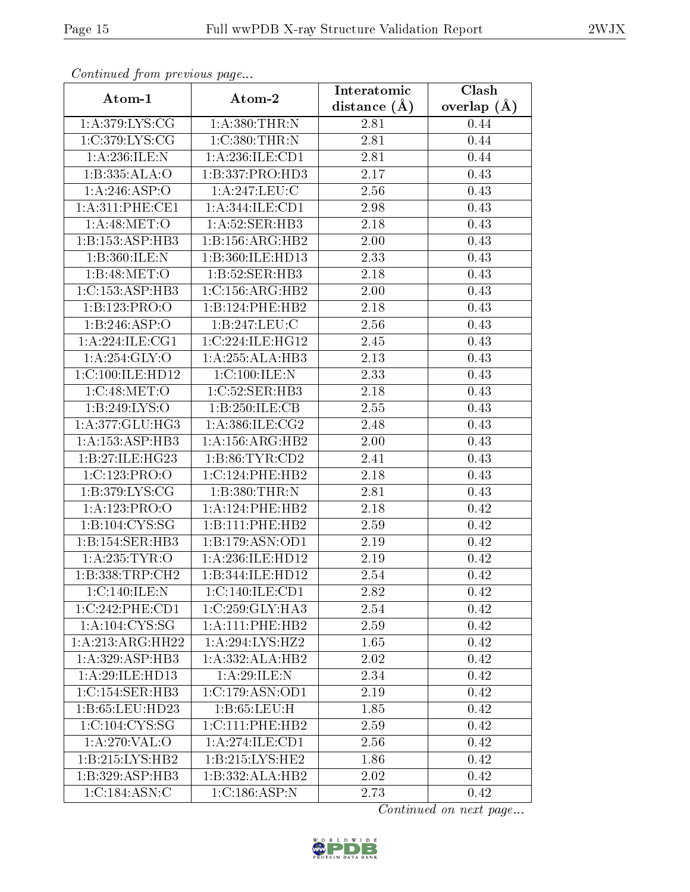| Comunaca jiom previous page |                     | Interatomic    | Clash           |
|-----------------------------|---------------------|----------------|-----------------|
| Atom-1                      | Atom-2              | distance $(A)$ | overlap $(\AA)$ |
| 1: A:379: LYS: CG           | 1:A:380:THR:N       | 2.81           | 0.44            |
| 1:C:379:LYS:CG              | 1:C:380:THR:N       | 2.81           | 0.44            |
| 1:A:236:ILE:N               | 1:A:236:ILE:CD1     | 2.81           | 0.44            |
| 1:B:335:ALA:O               | 1:B:337:PRO:HD3     | 2.17           | 0.43            |
| 1:A:246:ASP:O               | 1:A:247:LEU:C       | 2.56           | 0.43            |
| 1: A:311: PHE:CE1           | 1:A:344:ILE:CD1     | 2.98           | 0.43            |
| 1: A:48: MET:O              | 1: A:52: SER:HB3    | 2.18           | 0.43            |
| 1: B: 153: ASP: HB3         | 1:B:156:ARG:HB2     | 2.00           | 0.43            |
| 1:B:360:ILE:N               | 1:B:360:ILE:HD13    | 2.33           | 0.43            |
| 1: B:48:MET:O               | 1:B:52:SER:HB3      | 2.18           | 0.43            |
| 1:C:153:ASP:HB3             | 1:C:156:ARG:HB2     | 2.00           | 0.43            |
| 1:B:123:PRO:O               | 1:B:124:PHE:HB2     | 2.18           | 0.43            |
| 1:B:246:ASP:O               | 1:B:247:LEU:C       | 2.56           | 0.43            |
| 1: A:224: ILE: CG1          | 1:C:224:ILE:HG12    | 2.45           | 0.43            |
| 1:A:254:GLY:O               | 1:A:255:ALA:HB3     | 2.13           | 0.43            |
| 1:C:100:ILE:HD12            | 1:C:100:ILE:N       | 2.33           | 0.43            |
| 1:C:48:MET:O                | 1:C:52:SER:HB3      | 2.18           | 0.43            |
| 1:B:249:LYS:O               | 1:B:250:ILE:CB      | 2.55           | 0.43            |
| 1:A:377:GLU:HG3             | 1:A:386:ILE:CG2     | 2.48           | 0.43            |
| 1: A: 153: ASP: HB3         | 1:A:156:ARG:HB2     | $2.00\,$       | 0.43            |
| 1:B:27:ILE:HG23             | 1: B:86: TYR:CD2    | 2.41           | 0.43            |
| 1:C:123:PRO:O               | 1:C:124:PHE:HB2     | 2.18           | 0.43            |
| 1: B:379: LYS: CG           | 1:B:380:THR:N       | 2.81           | 0.43            |
| 1:A:123:PRO:O               | 1: A:124:PHE:HB2    | 2.18           | 0.42            |
| 1:B:104:CYS:SG              | 1:B:111:PHE:HB2     | 2.59           | 0.42            |
| 1:B:154:SER:HB3             | 1:B:179:ASN:OD1     | 2.19           | 0.42            |
| 1: A:235: TYR:O             | 1:A:236:ILE:HD12    | 2.19           | 0.42            |
| 1:B:338:TRP:CH2             | 1:B:344:ILE:HD12    | 2.54           | 0.42            |
| 1:C:140:ILE:N               | 1:C:140:ILE:CD1     | 2.82           | 0.42            |
| 1:C:242:PHE:CD1             | 1:C:259:GLY:HA3     | 2.54           | 0.42            |
| 1: A: 104: CYS: SG          | 1: A: 111: PHE: HB2 | 2.59           | 0.42            |
| 1:A:213:ARG:HH22            | 1: A:294: LYS:HZ2   | 1.65           | 0.42            |
| 1: A:329: ASP:HB3           | 1:A:332:ALA:HB2     | 2.02           | 0.42            |
| 1:A:29:ILE:HD13             | 1:A:29:ILE:N        | 2.34           | 0.42            |
| 1:C:154:SER:HB3             | 1:C:179:ASN:OD1     | 2.19           | 0.42            |
| 1:B:65:LEU:HD23             | 1: B: 65: LEU: H    | 1.85           | 0.42            |
| 1:C:104:CYS:SG              | 1:C:111:PHE:HB2     | 2.59           | 0.42            |
| 1:A:270:VAL:O               | 1:A:274:ILE:CD1     | 2.56           | 0.42            |
| 1:B:215:LYS:HB2             | 1: B: 215: LYS: HE2 | 1.86           | 0.42            |
| 1:B:329:ASP:HB3             | 1:B:332:ALA:HB2     | 2.02           | 0.42            |
| 1:C:184:ASN:C               | 1:C:186:ASP:N       | 2.73           | 0.42            |

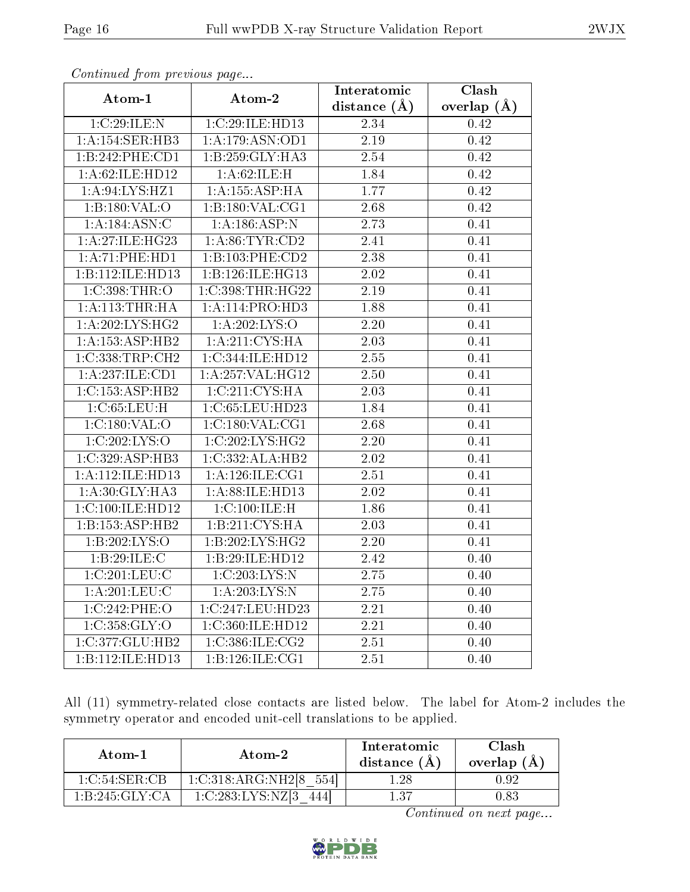| $\frac{1}{2}$       |                     | Interatomic       | Clash         |
|---------------------|---------------------|-------------------|---------------|
| Atom-1              | Atom-2              | distance $(A)$    | overlap $(A)$ |
| 1:C:29:ILE:N        | 1:C:29:ILE:HD13     | 2.34              | 0.42          |
| 1:A:154:SER:HB3     | 1: A: 179: ASN: OD1 | 2.19              | 0.42          |
| 1:B:242:PHE:CD1     | 1:B:259:GLY:HA3     | 2.54              | 0.42          |
| 1: A:62: ILE: HD12  | 1:A:62:ILE:H        | 1.84              | 0.42          |
| 1:A:94:LYS:HZ1      | 1: A: 155: ASP:HA   | 1.77              | 0.42          |
| 1:B:180:VAL:O       | 1: B: 180: VAL: CG1 | 2.68              | 0.42          |
| 1: A: 184: ASN: C   | 1:A:186:ASP:N       | 2.73              | 0.41          |
| 1: A:27: ILE: HG23  | 1: A:86:TYR:CD2     | 2.41              | 0.41          |
| 1: A:71: PHE:HD1    | 1:B:103:PHE:CD2     | 2.38              | 0.41          |
| 1:B:112:ILE:HD13    | 1:B:126:ILE:HG13    | $2.02\,$          | 0.41          |
| 1:C:398:THR:O       | 1:C:398:THR:HG22    | 2.19              | 0.41          |
| 1: A:113:THR:HA     | 1:A:114:PRO:HD3     | 1.88              | 0.41          |
| 1: A:202:LYS:HG2    | 1:A:202:LYS:O       | 2.20              | 0.41          |
| 1:A:153:ASP:HB2     | 1: A:211:CYS:HA     | 2.03              | 0.41          |
| 1:C:338:TRP:CH2     | 1:C:344:ILE:HD12    | 2.55              | 0.41          |
| 1:A:237:ILE:CD1     | 1:A:257:VAL:HG12    | 2.50              | 0.41          |
| 1:C:153:ASP:HB2     | 1:C:211:CYS:HA      | 2.03              | 0.41          |
| 1:C:65:LEU:H        | 1:C:65:LEU:HD23     | 1.84              | 0.41          |
| 1:C:180:VAL:O       | 1:C:180:VAL:CG1     | 2.68              | 0.41          |
| 1:C:202:LYS:O       | 1:C:202:LYS:HG2     | 2.20              | 0.41          |
| 1:C:329:ASP:HB3     | 1:C:332:ALA:HB2     | $\overline{2}.02$ | 0.41          |
| 1:A:112:ILE:HD13    | 1: A:126: ILE: CG1  | 2.51              | 0.41          |
| 1: A:30: GLY:HA3    | 1:A:88:ILE:HD13     | 2.02              | 0.41          |
| 1:C:100:ILE:HD12    | 1:C:100:ILE:H       | 1.86              | 0.41          |
| 1: B: 153: ASP: HB2 | 1:B:211:CYS:HA      | 2.03              | 0.41          |
| 1:B:202:LYS:O       | 1:B:202:LYS:HG2     | 2.20              | 0.41          |
| 1:B:29:ILE:C        | 1:B:29:ILE:HD12     | 2.42              | 0.40          |
| 1:C:201:LEU:C       | 1:C:203:LYS:N       | 2.75              | 0.40          |
| 1: A:201:LEU:C      | 1: A:203:LYS:N      | 2.75              | 0.40          |
| 1:C:242:PHE:O       | 1:C:247:LEU:HD23    | 2.21              | 0.40          |
| 1:C:358:GLY:O       | 1:C:360:ILE:HD12    | 2.21              | 0.40          |
| 1:C:377:GLU:HB2     | 1:C:386:ILE:CG2     | 2.51              | 0.40          |
| 1:B:112:ILE:HD13    | 1:B:126:ILE:CG1     | 2.51              | 0.40          |

All (11) symmetry-related close contacts are listed below. The label for Atom-2 includes the symmetry operator and encoded unit-cell translations to be applied.

| Atom-1         | Atom-2                     | Interatomic<br>distance (A) | Clash<br>overlap $(A)$ |
|----------------|----------------------------|-----------------------------|------------------------|
| 1 C 54 SER CB  | 1:C:318:ARG:NH2[8]<br>5541 | .28                         | Ո Գ2                   |
| 1 B 245 GLY CA | 1:C:283:LYS:NZ[3]          | 137                         | 0.83                   |

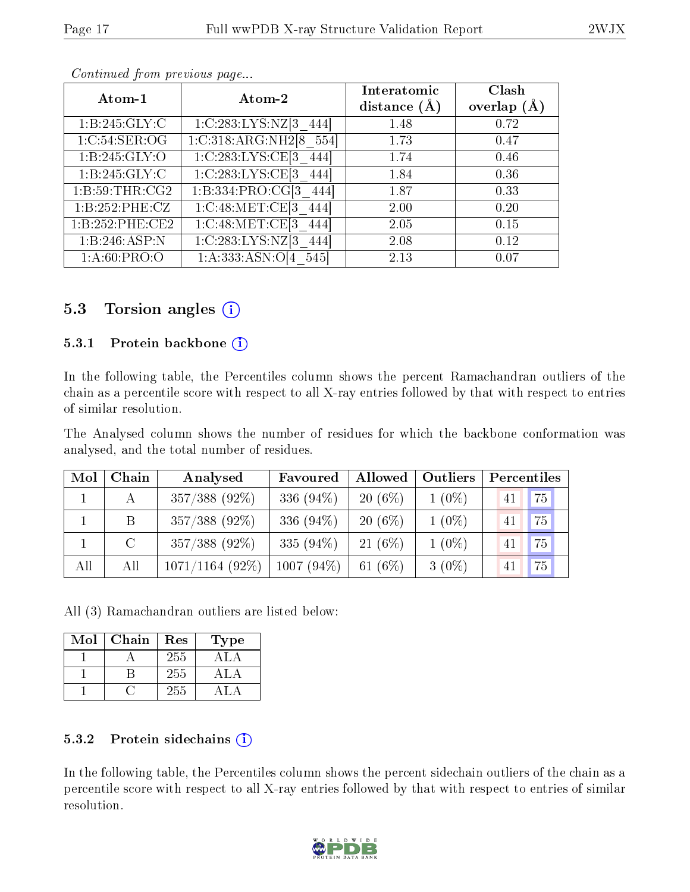| Atom-1          | Atom-2                               | Interatomic<br>distance $(A)$ | Clash<br>overlap $(A)$ |
|-----------------|--------------------------------------|-------------------------------|------------------------|
|                 |                                      |                               |                        |
| 1:B:245:GLY:C   | 1:C:283:LYS:NZ[3]<br>444             | 1.48                          | 0.72                   |
| 1:C:54:SER:OG   | 1:C:318:ARG:NH2[8 554]               | 1.73                          | 0.47                   |
| 1: B:245: GLY:O | 1:C:283:LYS:CE[3]                    | 1.74                          | 0.46                   |
| 1:B:245:GLY:C   | 1:C:283:LYS:CE[3 444]                | 1.84                          | 0.36                   |
| 1: B:59:THR:CG2 | 1:B:334:PRO:CG[3 444]                | 1.87                          | 0.33                   |
| 1:B:252:PHE:CZ  | 1:C:48:MET:CE[3 444]                 | 2.00                          | 0.20                   |
| 1:B:252:PHE:CE2 | 1:C:48:MET:CE[3]<br>444              | 2.05                          | 0.15                   |
| 1:B:246:ASP:N   | $1:C:283:LYS:NZ$ <sup>3</sup><br>444 | 2.08                          | 0.12                   |
| 1: A:60: PRO:O  | 1: A: 333: ASN: O[4]<br>545          | 2.13                          | 0.07                   |

# 5.3 Torsion angles  $(i)$

#### 5.3.1 Protein backbone (i)

In the following table, the Percentiles column shows the percent Ramachandran outliers of the chain as a percentile score with respect to all X-ray entries followed by that with respect to entries of similar resolution.

The Analysed column shows the number of residues for which the backbone conformation was analysed, and the total number of residues.

| Mol | Chain   | Analysed          | Favoured     | Allowed   | Outliers | Percentiles |
|-----|---------|-------------------|--------------|-----------|----------|-------------|
|     |         | $357/388$ (92%)   | 336 $(94\%)$ | $20(6\%)$ | $1(0\%)$ | 75<br>41    |
|     | B       | $357/388$ (92%)   | 336 $(94\%)$ | $20(6\%)$ | $1(0\%)$ | 75<br>41    |
|     | $\rm C$ | 357/388 (92%)     | 335 $(94\%)$ | $21(6\%)$ | $1(0\%)$ | 75<br>41    |
| All | All     | $1071/1164(92\%)$ | $1007(94\%)$ | 61 $(6%)$ | $3(0\%)$ | 75<br>41    |

All (3) Ramachandran outliers are listed below:

| Mol | Chain | Res | Type  |
|-----|-------|-----|-------|
|     |       | 255 | A L A |
|     |       | 255 | ΔI    |
|     |       | 255 |       |

#### 5.3.2 Protein sidechains  $(i)$

In the following table, the Percentiles column shows the percent sidechain outliers of the chain as a percentile score with respect to all X-ray entries followed by that with respect to entries of similar resolution.

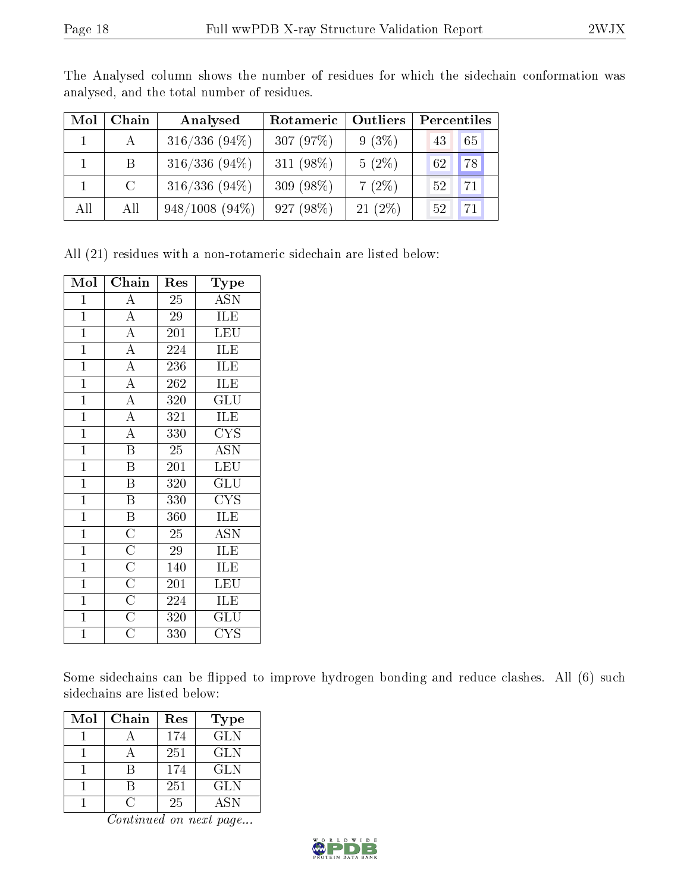| Mol | Chain          | Analysed         | Outliers<br>Rotameric |           | Percentiles           |  |
|-----|----------------|------------------|-----------------------|-----------|-----------------------|--|
|     | A              | $316/336(94\%)$  | 307(97%)              | $9(3\%)$  | 65<br>43              |  |
|     | B.             | $316/336(94\%)$  | 311 $(98\%)$          | $5(2\%)$  | 78<br>62 <sup>°</sup> |  |
|     | $\overline{C}$ | $316/336(94\%)$  | $309(98\%)$           | $7(2\%)$  | 71<br>52              |  |
| All | All            | $948/1008(94\%)$ | 927(98%)              | $21(2\%)$ | 71<br>52 <sub>1</sub> |  |

The Analysed column shows the number of residues for which the sidechain conformation was analysed, and the total number of residues.

All (21) residues with a non-rotameric sidechain are listed below:

| Mol            | Chain                               | Res              | Type                                |
|----------------|-------------------------------------|------------------|-------------------------------------|
| $\mathbf{1}$   | $\overline{\rm A}$                  | $\overline{25}$  | <b>ASN</b>                          |
| $\overline{1}$ | $\overline{A}$                      | 29               | ILE                                 |
| $\mathbf{1}$   | $\overline{A}$                      | 201              | LEU                                 |
| $\mathbf{1}$   | $\overline{A}$                      | 224              | ILE                                 |
| $\overline{1}$ | $\overline{A}$                      | 236              | ILE                                 |
| $\overline{1}$ | $\overline{A}$                      | 262              | ILE                                 |
| $\overline{1}$ | $\overline{A}$                      | 320              | GLU                                 |
| $\overline{1}$ | $\overline{A}$                      | $\overline{3}21$ | ILE                                 |
| $\overline{1}$ | $\overline{\rm A}$                  | 330              | <b>CYS</b>                          |
| $\mathbf{1}$   | $\overline{\mathbf{B}}$             | $\overline{25}$  | $\overline{\mathrm{ASN}}$           |
| $\mathbf{1}$   | $\overline{\mathbf{B}}$             | 201              | <b>LEU</b>                          |
| $\overline{1}$ | $\, {\bf B}$                        | 320              | GLU                                 |
| $\overline{1}$ | $\overline{\mathbf{B}}$             | $\overline{33}0$ | $\overline{\mathrm{C} \mathrm{YS}}$ |
| $\mathbf{1}$   | $\overline{\mathbf{B}}$             | 360              | ILE                                 |
| $\overline{1}$ | $\overline{C}$                      | 25               | $\overline{\mathrm{ASN}}$           |
| $\overline{1}$ |                                     | 29               | ILE                                 |
| $\mathbf{1}$   | $\frac{\overline{C}}{\overline{C}}$ | 140              | ILE                                 |
| $\mathbf{1}$   |                                     | 201              | <b>LEU</b>                          |
| $\mathbf{1}$   | $\overline{C}$                      | 224              | ILE                                 |
| $\overline{1}$ | $\overline{C}$                      | 320              | $\overline{{\rm GLU}}$              |
| $\mathbf{1}$   | $\overline{\rm C}$                  | 330              | <b>CYS</b>                          |

Some sidechains can be flipped to improve hydrogen bonding and reduce clashes. All (6) such sidechains are listed below:

| Mol | Chain | Res | <b>Type</b> |
|-----|-------|-----|-------------|
|     |       | 174 | <b>GLN</b>  |
|     |       | 251 | GLN         |
|     |       | 174 | GLN         |
|     |       | 251 | <b>GLN</b>  |
|     |       | 25  | ASN         |

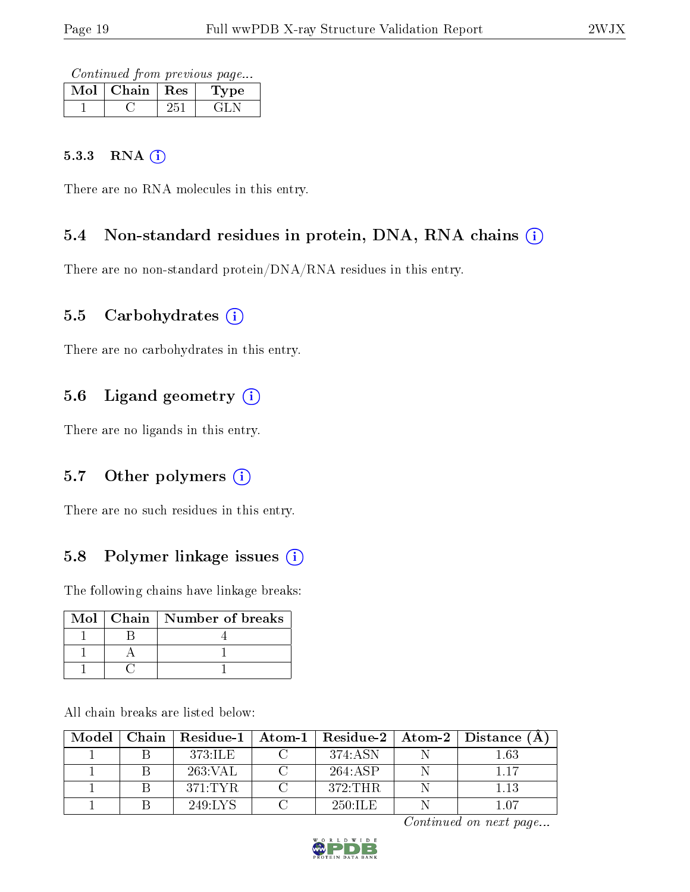Continued from previous page...

| Mol | Chain | $\pm$ Res | Type |
|-----|-------|-----------|------|
|     |       |           |      |

#### 5.3.3 RNA (i)

There are no RNA molecules in this entry.

# 5.4 Non-standard residues in protein, DNA, RNA chains (i)

There are no non-standard protein/DNA/RNA residues in this entry.

## 5.5 Carbohydrates  $(i)$

There are no carbohydrates in this entry.

# 5.6 Ligand geometry (i)

There are no ligands in this entry.

## 5.7 [O](https://www.wwpdb.org/validation/2017/XrayValidationReportHelp#nonstandard_residues_and_ligands)ther polymers  $(i)$

There are no such residues in this entry.

## 5.8 Polymer linkage issues  $(i)$

The following chains have linkage breaks:

|  | Mol∣Chain∣Number of breaks |
|--|----------------------------|
|  |                            |
|  |                            |
|  |                            |

All chain breaks are listed below:

| Model | $\mid$ Chain $\mid$ Residue-1 $\mid$ Atom-1 $\mid$ |            | $\mid$ Residue-2 $\mid$ Atom-2 $\mid$ Distance (A) |
|-------|----------------------------------------------------|------------|----------------------------------------------------|
|       | 373:ILE                                            | 374:ASN    | $1.63\,$                                           |
|       | 263:VAL                                            | 264:ASP    | 117                                                |
|       | 371:TYR                                            | 372:THR    | 1.13                                               |
|       | 249:LYS                                            | $250:$ ILE | 1 በ7                                               |

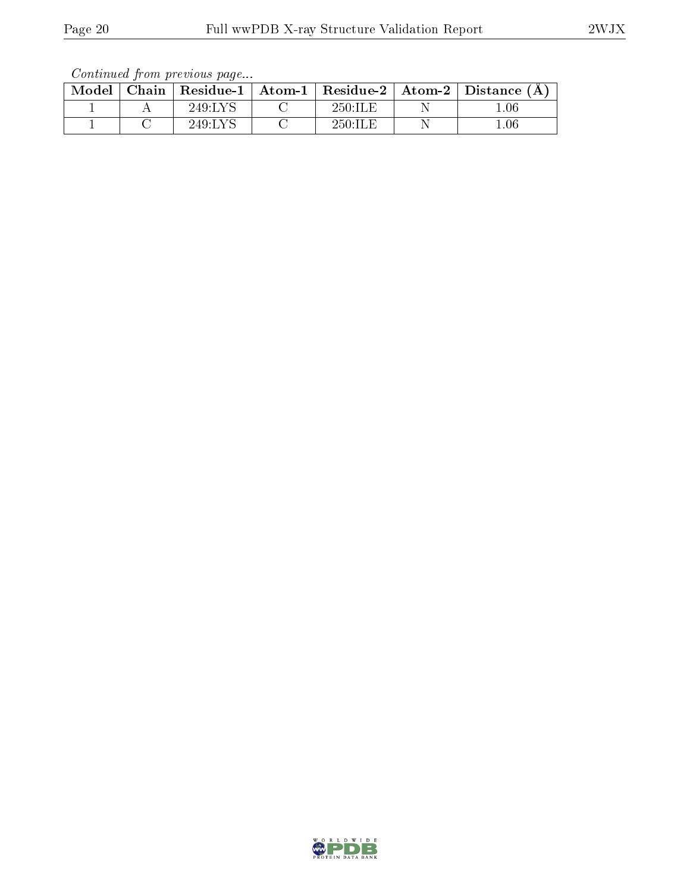| Continued from previous page |  |  |
|------------------------------|--|--|

| Model |         |            | Chain   Residue-1   Atom-1   Residue-2   Atom-2   Distance $(A)$ |
|-------|---------|------------|------------------------------------------------------------------|
|       | 249:LYS | 250:IIE    | 0.06                                                             |
|       | 249:LYS | $250:$ ILE | .06                                                              |